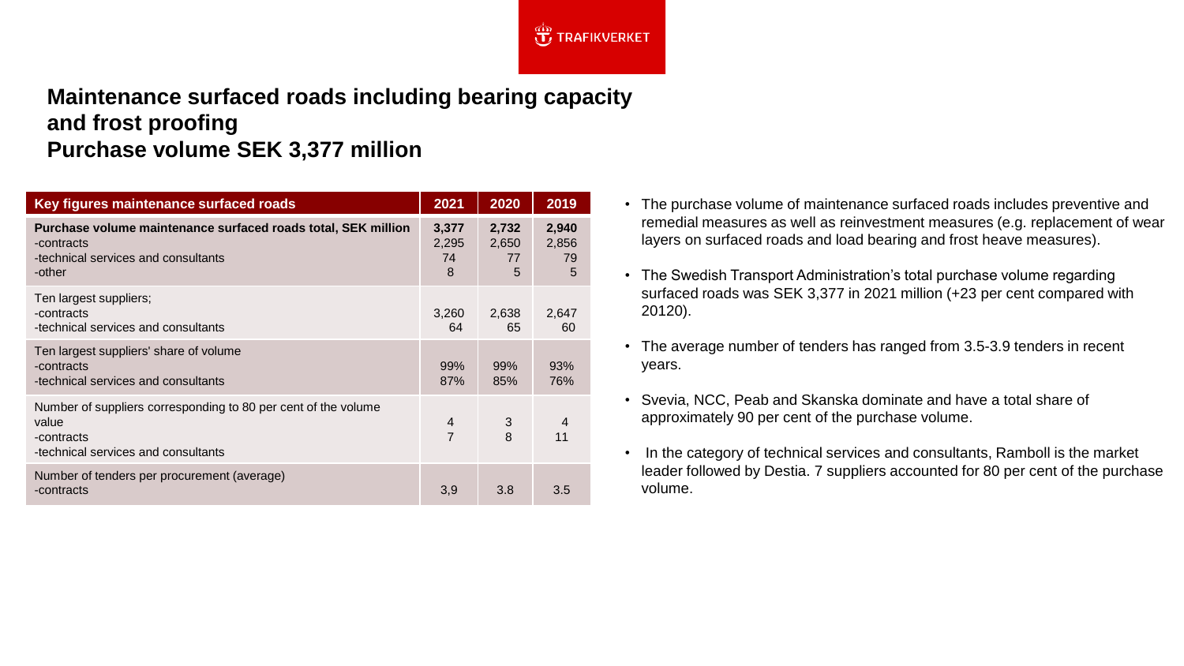

## **Maintenance surfaced roads including bearing capacity and frost proofing Purchase volume SEK 3,377 million**

| Key figures maintenance surfaced roads                                                                                       | 2021                      | 2020                      | 2019                      |
|------------------------------------------------------------------------------------------------------------------------------|---------------------------|---------------------------|---------------------------|
| Purchase volume maintenance surfaced roads total, SEK million<br>-contracts<br>-technical services and consultants<br>-other | 3,377<br>2,295<br>74<br>8 | 2,732<br>2,650<br>77<br>5 | 2,940<br>2,856<br>79<br>5 |
| Ten largest suppliers;<br>-contracts<br>-technical services and consultants                                                  | 3,260<br>64               | 2,638<br>65               | 2,647<br>60               |
| Ten largest suppliers' share of volume<br>-contracts<br>-technical services and consultants                                  | 99%<br>87%                | 99%<br>85%                | 93%<br>76%                |
| Number of suppliers corresponding to 80 per cent of the volume<br>value<br>-contracts<br>-technical services and consultants | $\overline{4}$<br>7       | $\mathfrak{S}$<br>8       | $\overline{4}$<br>11      |
| Number of tenders per procurement (average)<br>-contracts                                                                    | 3,9                       | 3.8                       | 3.5                       |

- The purchase volume of maintenance surfaced roads includes preventive and remedial measures as well as reinvestment measures (e.g. replacement of wear layers on surfaced roads and load bearing and frost heave measures).
- The Swedish Transport Administration's total purchase volume regarding surfaced roads was SEK 3,377 in 2021 million (+23 per cent compared with 20120).
- The average number of tenders has ranged from 3.5-3.9 tenders in recent years.
- Svevia, NCC, Peab and Skanska dominate and have a total share of approximately 90 per cent of the purchase volume.
- In the category of technical services and consultants, Ramboll is the market leader followed by Destia. 7 suppliers accounted for 80 per cent of the purchase volume.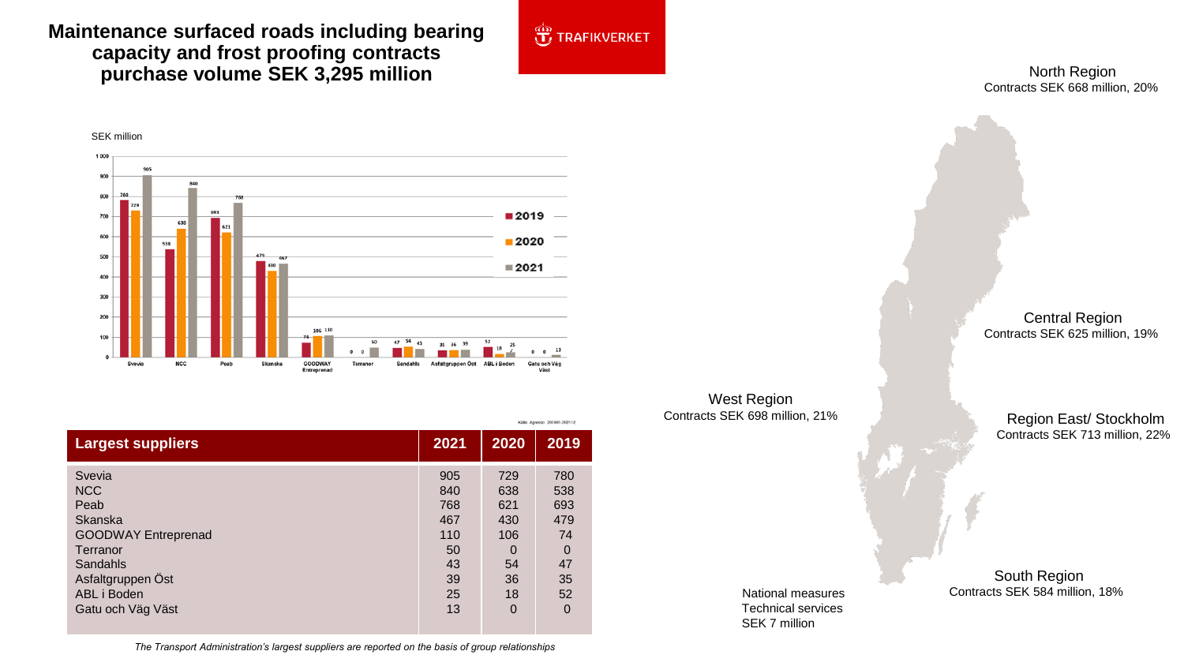## **Maintenance surfaced roads including bearing capacity and frost proofing contracts purchase volume SEK 3,295 million**



North Region Contracts SEK 668 million, 20%



|                            |      | Kalla: Agresso 201901-202112 |          |  |
|----------------------------|------|------------------------------|----------|--|
| <b>Largest suppliers</b>   | 2021 | 2020                         | 2019     |  |
| Svevia                     | 905  | 729                          | 780      |  |
| <b>NCC</b>                 | 840  | 638                          | 538      |  |
| Peab                       | 768  | 621                          | 693      |  |
| Skanska                    | 467  | 430                          | 479      |  |
| <b>GOODWAY Entreprenad</b> | 110  | 106                          | 74       |  |
| Terranor                   | 50   | $\Omega$                     | $\Omega$ |  |
| Sandahls                   | 43   | 54                           | 47       |  |
| Asfaltgruppen Öst          | 39   | 36                           | 35       |  |
| ABL i Boden                | 25   | 18                           | 52       |  |
| Gatu och Väg Väst          | 13   | $\overline{0}$               | 0        |  |

West Region Contracts SEK 698 million, 21%

Central Region Contracts SEK 625 million, 19%

Region East/ Stockholm Contracts SEK 713 million, 22%

National measures Technical services SEK 7 million

South Region Contracts SEK 584 million, 18%

*The Transport Administration's largest suppliers are reported on the basis of group relationships*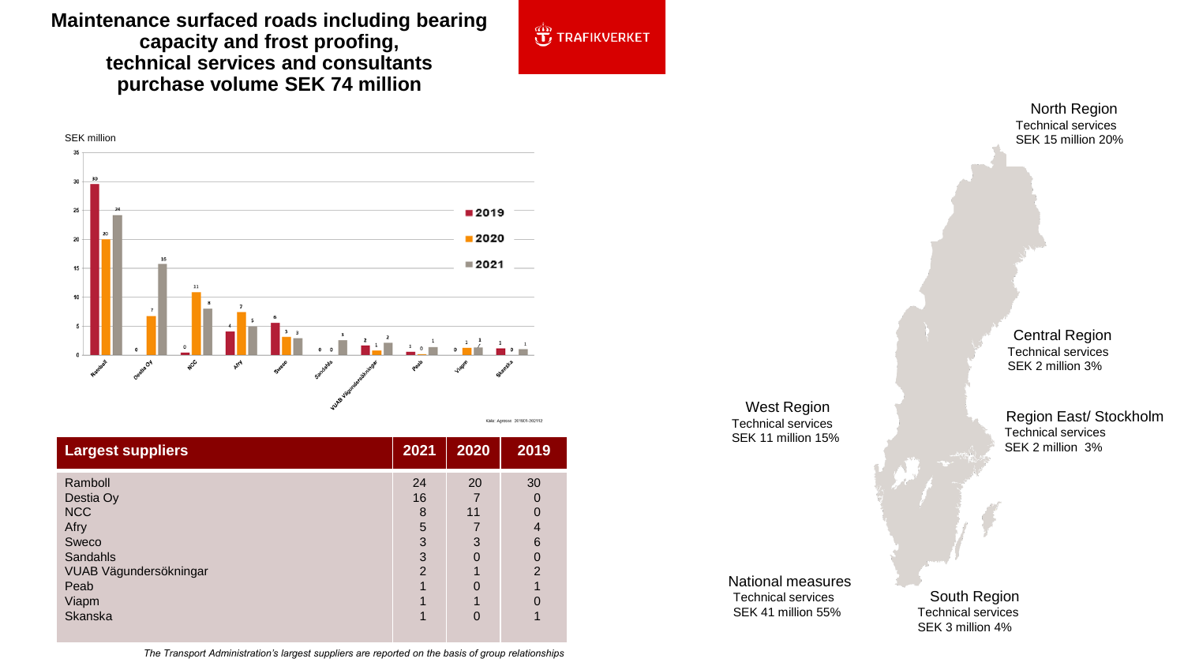**Maintenance surfaced roads including bearing capacity and frost proofing, technical services and consultants purchase volume SEK 74 million**





| <b>Largest suppliers</b> | 2021 | 2020 | 2019          |
|--------------------------|------|------|---------------|
| Ramboll                  | 24   | 20   | 30            |
| Destia Oy                | 16   |      | 0             |
| <b>NCC</b>               | 8    | 11   |               |
| Afry                     | 5    |      | 4             |
| Sweco                    | 3    | 3    | 6             |
| <b>Sandahls</b>          | 3    | Ω    | $\Omega$      |
| VUAB Vägundersökningar   | 2    |      | $\mathcal{P}$ |
| Peab                     |      |      |               |
| Viapm                    |      |      |               |
| Skanska                  |      | Ω    |               |

**roads, market share** North Region Technical services SEK 15 million 20%

> Central Region Technical services SEK 2 million 3%

West Region Technical services SEK 11 million 15%

Region East/ Stockholm Technical services SEK 2 million 3%

South Region Technical services SEK 3 million 4%

National measures Technical services SEK 41 million 55%

*The Transport Administration's largest suppliers are reported on the basis of group relationships*